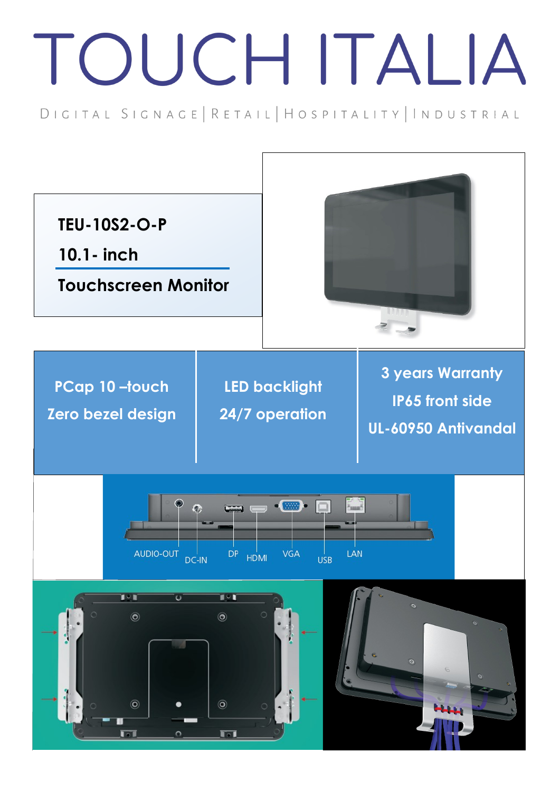## TOUCH ITALIA

DIGITAL SIGNAGE | RETAIL | HOSPITALITY | INDUSTRIAL